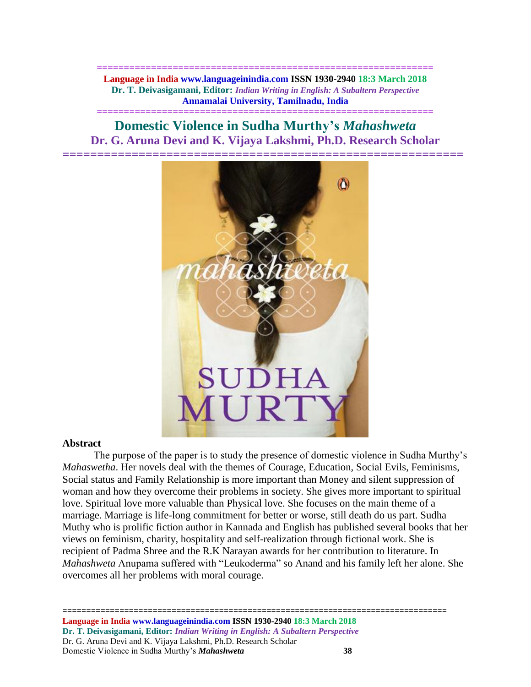**============================================================== Language in India www.languageinindia.com ISSN 1930-2940 18:3 March 2018 Dr. T. Deivasigamani, Editor:** *Indian Writing in English: A Subaltern Perspective* **Annamalai University, Tamilnadu, India**

**==============================================================**

**Domestic Violence in Sudha Murthy's** *Mahashweta* **Dr. G. Aruna Devi and K. Vijaya Lakshmi, Ph.D. Research Scholar**



## **Abstract**

The purpose of the paper is to study the presence of domestic violence in Sudha Murthy's *Mahaswetha*. Her novels deal with the themes of Courage, Education, Social Evils, Feminisms, Social status and Family Relationship is more important than Money and silent suppression of woman and how they overcome their problems in society. She gives more important to spiritual love. Spiritual love more valuable than Physical love. She focuses on the main theme of a marriage. Marriage is life-long commitment for better or worse, still death do us part. Sudha Muthy who is prolific fiction author in Kannada and English has published several books that her views on feminism, charity, hospitality and self-realization through fictional work. She is recipient of Padma Shree and the R.K Narayan awards for her contribution to literature. In *Mahashweta* Anupama suffered with "Leukoderma" so Anand and his family left her alone. She overcomes all her problems with moral courage.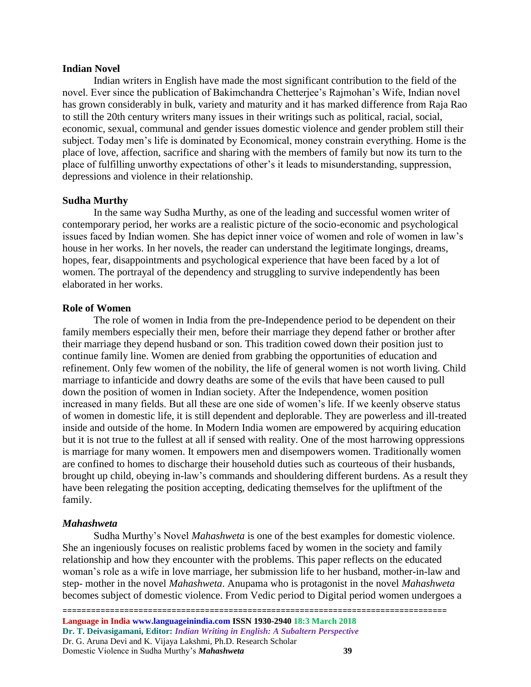#### **Indian Novel**

Indian writers in English have made the most significant contribution to the field of the novel. Ever since the publication of Bakimchandra Chetterjee's Rajmohan's Wife, Indian novel has grown considerably in bulk, variety and maturity and it has marked difference from Raja Rao to still the 20th century writers many issues in their writings such as political, racial, social, economic, sexual, communal and gender issues domestic violence and gender problem still their subject. Today men's life is dominated by Economical, money constrain everything. Home is the place of love, affection, sacrifice and sharing with the members of family but now its turn to the place of fulfilling unworthy expectations of other's it leads to misunderstanding, suppression, depressions and violence in their relationship.

## **Sudha Murthy**

In the same way Sudha Murthy, as one of the leading and successful women writer of contemporary period, her works are a realistic picture of the socio-economic and psychological issues faced by Indian women. She has depict inner voice of women and role of women in law's house in her works. In her novels, the reader can understand the legitimate longings, dreams, hopes, fear, disappointments and psychological experience that have been faced by a lot of women. The portrayal of the dependency and struggling to survive independently has been elaborated in her works.

#### **Role of Women**

The role of women in India from the pre-Independence period to be dependent on their family members especially their men, before their marriage they depend father or brother after their marriage they depend husband or son. This tradition cowed down their position just to continue family line. Women are denied from grabbing the opportunities of education and refinement. Only few women of the nobility, the life of general women is not worth living. Child marriage to infanticide and dowry deaths are some of the evils that have been caused to pull down the position of women in Indian society. After the Independence, women position increased in many fields. But all these are one side of women's life. If we keenly observe status of women in domestic life, it is still dependent and deplorable. They are powerless and ill-treated inside and outside of the home. In Modern India women are empowered by acquiring education but it is not true to the fullest at all if sensed with reality. One of the most harrowing oppressions is marriage for many women. It empowers men and disempowers women. Traditionally women are confined to homes to discharge their household duties such as courteous of their husbands, brought up child, obeying in-law's commands and shouldering different burdens. As a result they have been relegating the position accepting, dedicating themselves for the upliftment of the family.

## *Mahashweta*

Sudha Murthy's Novel *Mahashweta* is one of the best examples for domestic violence. She an ingeniously focuses on realistic problems faced by women in the society and family relationship and how they encounter with the problems. This paper reflects on the educated woman's role as a wife in love marriage, her submission life to her husband, mother-in-law and step- mother in the novel *Mahashweta*. Anupama who is protagonist in the novel *Mahashweta* becomes subject of domestic violence. From Vedic period to Digital period women undergoes a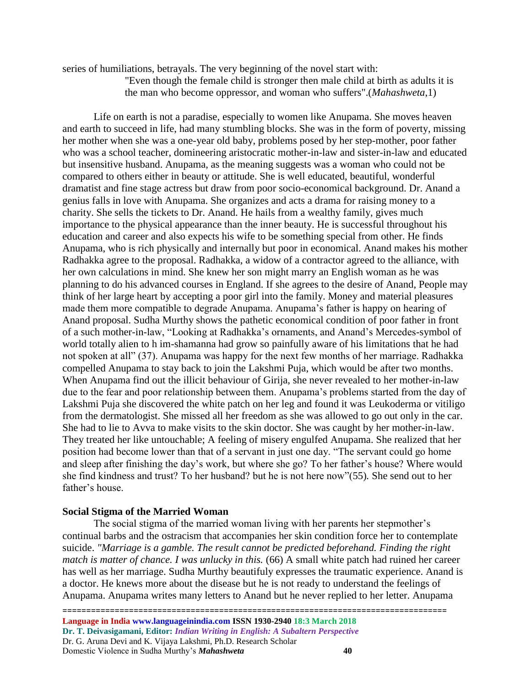series of humiliations, betrayals. The very beginning of the novel start with:

"Even though the female child is stronger then male child at birth as adults it is the man who become oppressor, and woman who suffers".(*Mahashweta*,1)

Life on earth is not a paradise, especially to women like Anupama. She moves heaven and earth to succeed in life, had many stumbling blocks. She was in the form of poverty, missing her mother when she was a one-year old baby, problems posed by her step-mother, poor father who was a school teacher, domineering aristocratic mother-in-law and sister-in-law and educated but insensitive husband. Anupama, as the meaning suggests was a woman who could not be compared to others either in beauty or attitude. She is well educated, beautiful, wonderful dramatist and fine stage actress but draw from poor socio-economical background. Dr. Anand a genius falls in love with Anupama. She organizes and acts a drama for raising money to a charity. She sells the tickets to Dr. Anand. He hails from a wealthy family, gives much importance to the physical appearance than the inner beauty. He is successful throughout his education and career and also expects his wife to be something special from other. He finds Anupama, who is rich physically and internally but poor in economical. Anand makes his mother Radhakka agree to the proposal. Radhakka, a widow of a contractor agreed to the alliance, with her own calculations in mind. She knew her son might marry an English woman as he was planning to do his advanced courses in England. If she agrees to the desire of Anand, People may think of her large heart by accepting a poor girl into the family. Money and material pleasures made them more compatible to degrade Anupama. Anupama's father is happy on hearing of Anand proposal. Sudha Murthy shows the pathetic economical condition of poor father in front of a such mother-in-law, "Looking at Radhakka's ornaments, and Anand's Mercedes-symbol of world totally alien to h im-shamanna had grow so painfully aware of his limitations that he had not spoken at all" (37). Anupama was happy for the next few months of her marriage. Radhakka compelled Anupama to stay back to join the Lakshmi Puja, which would be after two months. When Anupama find out the illicit behaviour of Girija, she never revealed to her mother-in-law due to the fear and poor relationship between them. Anupama's problems started from the day of Lakshmi Puja she discovered the white patch on her leg and found it was Leukoderma or vitiligo from the dermatologist. She missed all her freedom as she was allowed to go out only in the car. She had to lie to Avva to make visits to the skin doctor. She was caught by her mother-in-law. They treated her like untouchable; A feeling of misery engulfed Anupama. She realized that her position had become lower than that of a servant in just one day. "The servant could go home and sleep after finishing the day's work, but where she go? To her father's house? Where would she find kindness and trust? To her husband? but he is not here now"(55)*.* She send out to her father's house.

# **Social Stigma of the Married Woman**

The social stigma of the married woman living with her parents her stepmother's continual barbs and the ostracism that accompanies her skin condition force her to contemplate suicide. *"Marriage is a gamble. The result cannot be predicted beforehand. Finding the right match is matter of chance. I was unlucky in this.* (66) A small white patch had ruined her career has well as her marriage. Sudha Murthy beautifuly expresses the traumatic experience. Anand is a doctor. He knews more about the disease but he is not ready to understand the feelings of Anupama. Anupama writes many letters to Anand but he never replied to her letter. Anupama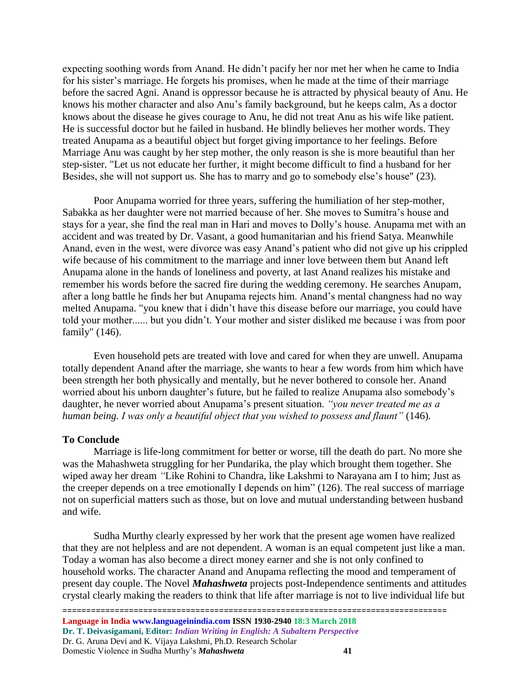expecting soothing words from Anand. He didn't pacify her nor met her when he came to India for his sister's marriage. He forgets his promises, when he made at the time of their marriage before the sacred Agni. Anand is oppressor because he is attracted by physical beauty of Anu. He knows his mother character and also Anu's family background, but he keeps calm, As a doctor knows about the disease he gives courage to Anu, he did not treat Anu as his wife like patient. He is successful doctor but he failed in husband. He blindly believes her mother words. They treated Anupama as a beautiful object but forget giving importance to her feelings. Before Marriage Anu was caught by her step mother, the only reason is she is more beautiful than her step-sister. "Let us not educate her further, it might become difficult to find a husband for her Besides, she will not support us. She has to marry and go to somebody else's house" (23).

Poor Anupama worried for three years, suffering the humiliation of her step-mother, Sabakka as her daughter were not married because of her. She moves to Sumitra's house and stays for a year, she find the real man in Hari and moves to Dolly's house. Anupama met with an accident and was treated by Dr. Vasant, a good humanitarian and his friend Satya. Meanwhile Anand, even in the west, were divorce was easy Anand's patient who did not give up his crippled wife because of his commitment to the marriage and inner love between them but Anand left Anupama alone in the hands of loneliness and poverty, at last Anand realizes his mistake and remember his words before the sacred fire during the wedding ceremony. He searches Anupam, after a long battle he finds her but Anupama rejects him. Anand's mental changness had no way melted Anupama. "you knew that i didn't have this disease before our marriage, you could have told your mother...... but you didn't. Your mother and sister disliked me because i was from poor family" (146).

Even household pets are treated with love and cared for when they are unwell. Anupama totally dependent Anand after the marriage, she wants to hear a few words from him which have been strength her both physically and mentally, but he never bothered to console her. Anand worried about his unborn daughter's future, but he failed to realize Anupama also somebody's daughter, he never worried about Anupama's present situation. *"you never treated me as a human being. I was only a beautiful object that you wished to possess and flaunt"* (146)*.* 

## **To Conclude**

Marriage is life-long commitment for better or worse, till the death do part*.* No more she was the Mahashweta struggling for her Pundarika, the play which brought them together. She wiped away her dream *"*Like Rohini to Chandra, like Lakshmi to Narayana am I to him; Just as the creeper depends on a tree emotionally I depends on him" (126). The real success of marriage not on superficial matters such as those, but on love and mutual understanding between husband and wife.

Sudha Murthy clearly expressed by her work that the present age women have realized that they are not helpless and are not dependent. A woman is an equal competent just like a man. Today a woman has also become a direct money earner and she is not only confined to household works. The character Anand and Anupama reflecting the mood and temperament of present day couple. The Novel *Mahashweta* projects post-Independence sentiments and attitudes crystal clearly making the readers to think that life after marriage is not to live individual life but